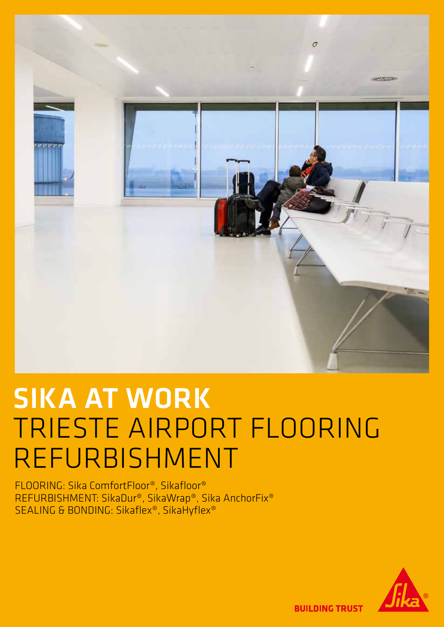

# SIKA AT WORK TRIESTE AIRPORT FLOORING REFURBISHMENT

FLOORING: Sika ComfortFloor®, Sikafloor® REFURBISHMENT: SikaDur®, SikaWrap®, Sika AnchorFix® SEALING & BONDING: Sikaflex®, SikaHyflex®



**BUILDING TRUST**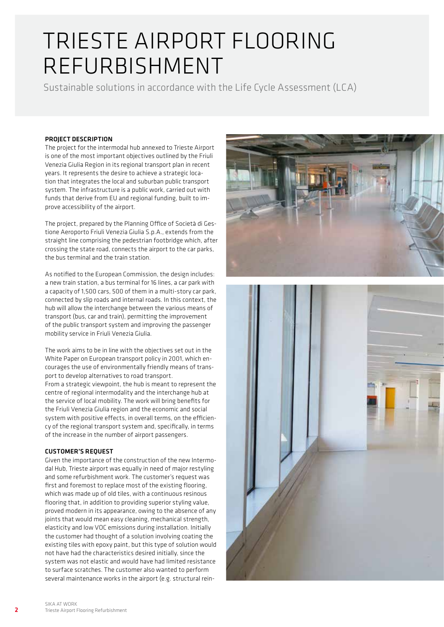Sustainable solutions in accordance with the Life Cycle Assessment (LCA)

#### PROJECT DESCRIPTION

The project for the intermodal hub annexed to Trieste Airport is one of the most important objectives outlined by the Friuli Venezia Giulia Region in its regional transport plan in recent years. It represents the desire to achieve a strategic location that integrates the local and suburban public transport system. The infrastructure is a public work, carried out with funds that derive from EU and regional funding, built to improve accessibility of the airport.

The project, prepared by the Planning Office of Società di Gestione Aeroporto Friuli Venezia Giulia S.p.A., extends from the straight line comprising the pedestrian footbridge which, after crossing the state road, connects the airport to the car parks, the bus terminal and the train station.

As notified to the European Commission, the design includes: a new train station, a bus terminal for 16 lines, a car park with a capacity of 1,500 cars, 500 of them in a multi-story car park, connected by slip roads and internal roads. In this context, the hub will allow the interchange between the various means of transport (bus, car and train), permitting the improvement of the public transport system and improving the passenger mobility service in Friuli Venezia Giulia.

The work aims to be in line with the objectives set out in the White Paper on European transport policy in 2001, which encourages the use of environmentally friendly means of transport to develop alternatives to road transport. From a strategic viewpoint, the hub is meant to represent the centre of regional intermodality and the interchange hub at the service of local mobility. The work will bring benefits for the Friuli Venezia Giulia region and the economic and social system with positive effects, in overall terms, on the efficiency of the regional transport system and, specifically, in terms of the increase in the number of airport passengers.

#### CUSTOMER'S REQUEST

Given the importance of the construction of the new Intermodal Hub, Trieste airport was equally in need of major restyling and some refurbishment work. The customer's request was first and foremost to replace most of the existing flooring, which was made up of old tiles, with a continuous resinous flooring that, in addition to providing superior styling value, proved modern in its appearance, owing to the absence of any joints that would mean easy cleaning, mechanical strength, elasticity and low VOC emissions during installation. Initially the customer had thought of a solution involving coating the existing tiles with epoxy paint, but this type of solution would not have had the characteristics desired initially, since the system was not elastic and would have had limited resistance to surface scratches. The customer also wanted to perform several maintenance works in the airport (e.g. structural rein-



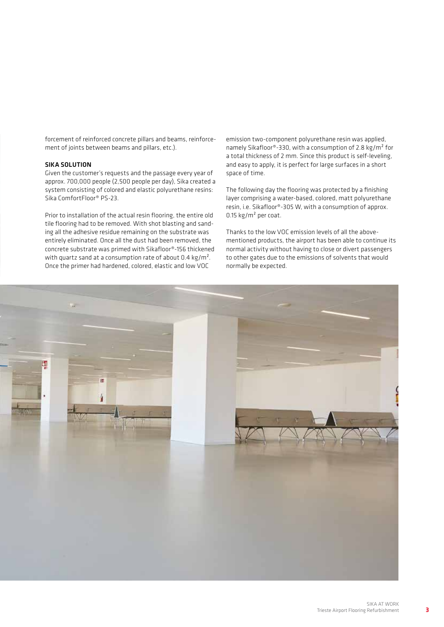forcement of reinforced concrete pillars and beams, reinforcement of joints between beams and pillars, etc.).

#### SIKA SOLUTION

Given the customer's requests and the passage every year of approx. 700,000 people (2,500 people per day), Sika created a system consisting of colored and elastic polyurethane resins: Sika ComfortFloor® PS-23.

Prior to installation of the actual resin flooring, the entire old tile flooring had to be removed. With shot blasting and sanding all the adhesive residue remaining on the substrate was entirely eliminated. Once all the dust had been removed, the concrete substrate was primed with Sikafloor®-156 thickened with quartz sand at a consumption rate of about 0.4 kg/m<sup>2</sup>. Once the primer had hardened, colored, elastic and low VOC

emission two-component polyurethane resin was applied, namely Sikafloor®-330, with a consumption of 2.8 kg/m² for a total thickness of 2 mm. Since this product is self-leveling, and easy to apply, it is perfect for large surfaces in a short space of time.

The following day the flooring was protected by a finishing layer comprising a water-based, colored, matt polyurethane resin, i.e. Sikafloor®-305 W, with a consumption of approx. 0.15 kg/m² per coat.

Thanks to the low VOC emission levels of all the abovementioned products, the airport has been able to continue its normal activity without having to close or divert passengers to other gates due to the emissions of solvents that would normally be expected.

![](_page_2_Picture_7.jpeg)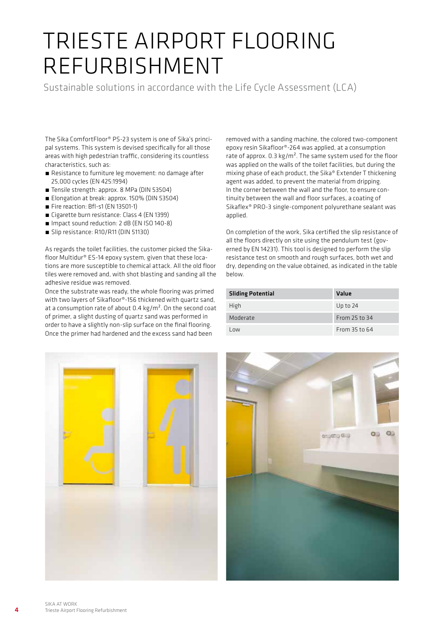Sustainable solutions in accordance with the Life Cycle Assessment (LCA)

The Sika ComfortFloor® PS-23 system is one of Sika's principal systems. This system is devised specifically for all those areas with high pedestrian traffic, considering its countless characteristics, such as:

- Resistance to furniture leg movement: no damage after 25,000 cycles (EN 425:1994)
- Tensile strength: approx. 8 MPa (DIN 53504)
- Elongation at break: approx. 150% (DIN 53504)
- Fire reaction: Bfl-s1 (EN 13501-1)
- Cigarette burn resistance: Class 4 (EN 1399)
- Impact sound reduction: 2 dB (EN ISO 140-8)
- Slip resistance: R10/R11 (DIN 51130)

As regards the toilet facilities, the customer picked the Sikafloor Multidur® ES-14 epoxy system, given that these locations are more susceptible to chemical attack. All the old floor tiles were removed and, with shot blasting and sanding all the adhesive residue was removed.

Once the substrate was ready, the whole flooring was primed with two layers of Sikafloor®-156 thickened with quartz sand, at a consumption rate of about  $0.4 \text{ kg/m}^2$ . On the second coat of primer, a slight dusting of quartz sand was performed in order to have a slightly non-slip surface on the final flooring. Once the primer had hardened and the excess sand had been

removed with a sanding machine, the colored two-component epoxy resin Sikafloor®-264 was applied, at a consumption rate of approx.  $0.3 \text{ kg/m}^2$ . The same system used for the floor was applied on the walls of the toilet facilities, but during the mixing phase of each product, the Sika® Extender T thickening agent was added, to prevent the material from dripping. In the corner between the wall and the floor, to ensure continuity between the wall and floor surfaces, a coating of Sikaflex® PRO-3 single-component polyurethane sealant was applied.

On completion of the work, Sika certified the slip resistance of all the floors directly on site using the pendulum test (governed by EN 14231). This tool is designed to perform the slip resistance test on smooth and rough surfaces, both wet and dry, depending on the value obtained, as indicated in the table below.

| <b>Sliding Potential</b> | Value         |
|--------------------------|---------------|
| High                     | Up to $24$    |
| Moderate                 | From 25 to 34 |
| Low                      | From 35 to 64 |

![](_page_3_Picture_15.jpeg)

![](_page_3_Picture_16.jpeg)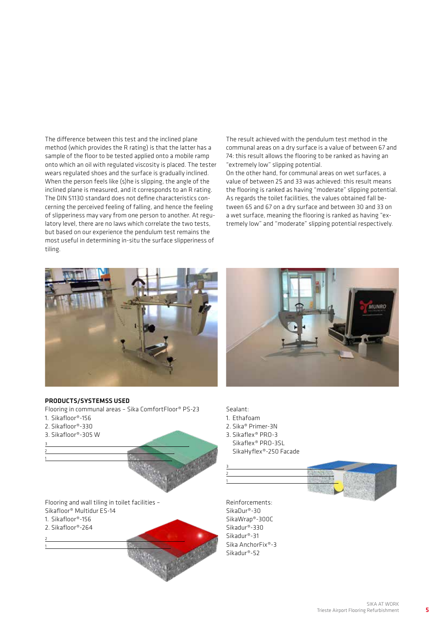The difference between this test and the inclined plane method (which provides the R rating) is that the latter has a sample of the floor to be tested applied onto a mobile ramp onto which an oil with regulated viscosity is placed. The tester wears regulated shoes and the surface is gradually inclined. When the person feels like (s)he is slipping, the angle of the inclined plane is measured, and it corresponds to an R rating. The DIN 51130 standard does not define characteristics concerning the perceived feeling of falling, and hence the feeling of slipperiness may vary from one person to another. At regulatory level, there are no laws which correlate the two tests, but based on our experience the pendulum test remains the most useful in determining in-situ the surface slipperiness of tiling.

The result achieved with the pendulum test method in the communal areas on a dry surface is a value of between 67 and 74: this result allows the flooring to be ranked as having an "extremely low" slipping potential.

On the other hand, for communal areas on wet surfaces, a value of between 25 and 33 was achieved: this result means the flooring is ranked as having "moderate" slipping potential. As regards the toilet facilities, the values obtained fall between 65 and 67 on a dry surface and between 30 and 33 on a wet surface, meaning the flooring is ranked as having "extremely low" and "moderate" slipping potential respectively.

![](_page_4_Picture_3.jpeg)

![](_page_4_Picture_4.jpeg)

#### PRODUCTS/SYSTEMSS USED

- Flooring in communal areas Sika ComfortFloor® PS-23
- 1. Sikafloor®-156
- 2. Sikafloor®-330

3 2 1

1

3. Sikafloor®-305 W

Sealant:

- 1. Ethafoam
- 2. Sika® Primer-3N
- 3. Sikaflex® PRO-3 Sikaflex® PRO-3SL SikaHyflex®-250 Facade

![](_page_4_Figure_14.jpeg)

Flooring and wall tiling in toilet facilities – Sikafloor® Multidur ES-14 1. Sikafloor®-156 2. Sikafloor®-264 2

Reinforcements: SikaDur®-30 SikaWrap®-300C Sikadur®-330 Sikadur®-31 Sika AnchorFix®-3 Sikadur®-52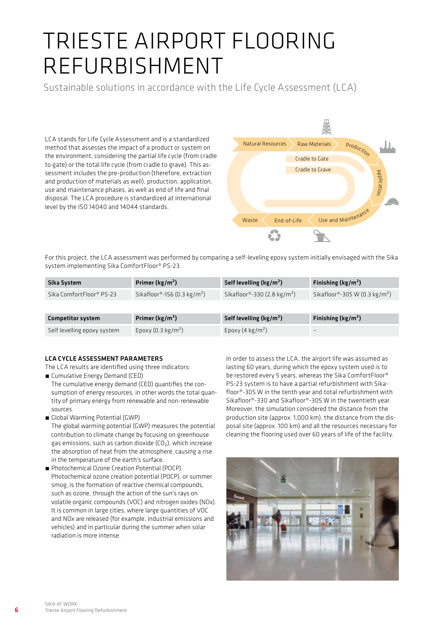Sustainable solutions in accordance with the Life Cycle Assessment (LCA)

LCA stands for Life Cycle Assessment and is a standardized method that assesses the impact of a product or system on the environment, considering the partial life cycle (from cradle to gate) or the total life cycle (from cradle to grave). This assessment includes the pre-production (therefore, extraction and production of materials as well), production, application, use and maintenance phases, as well as end of life and final disposal. The LCA procedure is standardized at international level by the ISO 14040 and 14044 standards.

![](_page_5_Figure_3.jpeg)

For this project, the LCA assessment was performed by comparing a self-leveling epoxy system initially envisaged with the Sika system implementing Sika ComfortFloor® PS-23.

| Sika System                 | Primer ( $\text{kg/m}^2$ )              | Self levelling ( $\text{kg/m}^2$ )      | Finishing ( $\text{kg/m}^2$ )             |
|-----------------------------|-----------------------------------------|-----------------------------------------|-------------------------------------------|
| Sika ComfortFloor® PS-23    | Sikafloor®-156 (0.3 kg/m <sup>2</sup> ) | Sikafloor®-330 (2.8 kg/m <sup>2</sup> ) | Sikafloor®-305 W (0.3 kg/m <sup>2</sup> ) |
|                             |                                         |                                         |                                           |
| <b>Competitor system</b>    | Primer ( $\text{kg/m}^2$ )              | Self levelling ( $kg/m2$ )              | Finishing ( $\text{kg/m}^2$ )             |
| Self levelling epoxy system | Epoxy $(0.3 \text{ kg/m}^2)$            | Epoxy (4 kg/m <sup>2</sup> )            |                                           |

#### LCA CYCLE ASSESSMENT PARAMETERS

The LCA results are identified using three indicators:

- ́ Cumulative Energy Demand (CED) The cumulative energy demand (CED) quantifies the consumption of energy resources, in other words the total quantity of primary energy from renewable and non-renewable sources.
- ́ Global Warming Potential (GWP)

The global warming potential (GWP) measures the potential contribution to climate change by focusing on greenhouse gas emissions, such as carbon dioxide (CO<sub>2</sub>), which increase<br>... the absorption of heat from the atmosphere, causing a rise in the temperature of the earth's surface.

■ Photochemical Ozone Creation Potential (POCP) Photochemical ozone creation potential (POCP), or summer smog, is the formation of reactive chemical compounds, such as ozone, through the action of the sun's rays on volatile organic compounds (VOC) and nitrogen oxides (NOx). It is common in large cities, where large quantities of VOC and NOx are released (for example, industrial emissions and vehicles) and in particular during the summer when solar radiation is more intense.

In order to assess the LCA, the airport life was assumed as lasting 60 years, during which the epoxy system used is to be restored every 5 years, whereas the Sika ComfortFloor® PS-23 system is to have a partial refurbishment with Sikafloor®-305 W in the tenth year and total refurbishment with Sikafloor®-330 and Sikafloor®-305 W in the twentieth year. Moreover, the simulation considered the distance from the production site (approx. 1,000 km), the distance from the disposal site (approx. 100 km) and all the resources necessary for cleaning the flooring used over 60 years of life of the facility.

![](_page_5_Picture_13.jpeg)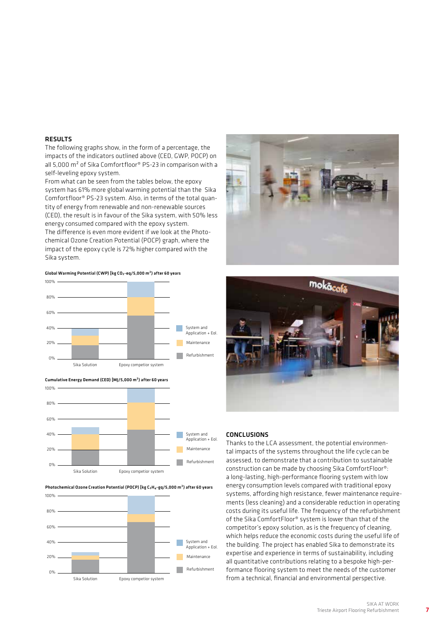#### **RESULTS**

The following graphs show, in the form of a percentage, the impacts of the indicators outlined above (CED, GWP, POCP) on all 5,000 m<sup>2</sup> of Sika Comfortfloor<sup>®</sup> PS-23 in comparison with a self-leveling epoxy system.

From what can be seen from the tables below, the epoxy system has 61% more global warming potential than the Sika Comfortfloor® PS-23 system. Also, in terms of the total quantity of energy from renewable and non-renewable sources (CED), the result is in favour of the Sika system, with 50% less

energy consumed compared with the epoxy system. The difference is even more evident if we look at the Photochemical Ozone Creation Potential (POCP) graph, where the impact of the epoxy cycle is 72% higher compared with the Sika system.

Global Warming Potential (CWP) [kg CO<sub>2</sub>-eq/5,000 m<sup>2</sup>) after 60 years

![](_page_6_Figure_5.jpeg)

![](_page_6_Figure_6.jpeg)

![](_page_6_Figure_7.jpeg)

#### Photochemical Ozone Creation Potential (POCP) [kg C<sub>2</sub>H<sub>4</sub>-gq/5,000 m<sup>2</sup>) after 60 years

![](_page_6_Figure_9.jpeg)

![](_page_6_Picture_10.jpeg)

![](_page_6_Picture_11.jpeg)

#### CONCLUSIONS

Thanks to the LCA assessment, the potential environmental impacts of the systems throughout the life cycle can be assessed, to demonstrate that a contribution to sustainable construction can be made by choosing Sika ComfortFloor®: a long-lasting, high-performance flooring system with low energy consumption levels compared with traditional epoxy systems, affording high resistance, fewer maintenance requirements (less cleaning) and a considerable reduction in operating costs during its useful life. The frequency of the refurbishment of the Sika ComfortFloor® system is lower than that of the competitor's epoxy solution, as is the frequency of cleaning, which helps reduce the economic costs during the useful life of the building. The project has enabled Sika to demonstrate its expertise and experience in terms of sustainability, including all quantitative contributions relating to a bespoke high-performance flooring system to meet the needs of the customer from a technical, financial and environmental perspective.

7